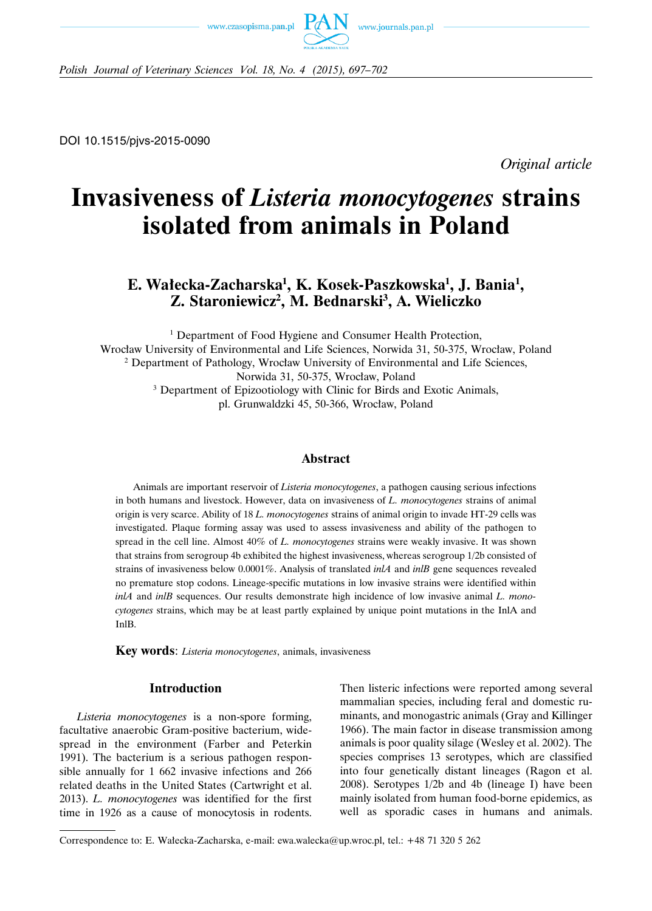



*Polish Journal of Veterinary Sciences Vol. 18, No. 4 (2015), 697–702*

DOI 10.1515/pjvs-2015-0090

*Original article*

# **Invasiveness of** *Listeria monocytogenes* **strains isolated from animals in Poland**

# **E. Wałecka-Zacharska1 , K. Kosek-Paszkowska1 , J. Bania1 , Z. Staroniewicz2 , M. Bednarski3 , A. Wieliczko**

<sup>1</sup> Department of Food Hygiene and Consumer Health Protection, Wrocław University of Environmental and Life Sciences, Norwida 31, 50-375, Wrocław, Poland <sup>2</sup> Department of Pathology, Wrocław University of Environmental and Life Sciences, Norwida 31, 50-375, Wrocław, Poland <sup>3</sup> Department of Epizootiology with Clinic for Birds and Exotic Animals, pl. Grunwaldzki 45, 50-366, Wrocław, Poland

# **Abstract**

Animals are important reservoir of *Listeria monocytogenes*, a pathogen causing serious infections in both humans and livestock. However, data on invasiveness of *L. monocytogenes* strains of animal origin is very scarce. Ability of 18 *L. monocytogenes* strains of animal origin to invade HT-29 cells was investigated. Plaque forming assay was used to assess invasiveness and ability of the pathogen to spread in the cell line. Almost 40% of *L. monocytogenes* strains were weakly invasive. It was shown that strains from serogroup 4b exhibited the highest invasiveness, whereas serogroup 1/2b consisted of strains of invasiveness below 0.0001%. Analysis of translated *inlA* and *inlB* gene sequences revealed no premature stop codons. Lineage-specific mutations in low invasive strains were identified within *inlA* and *inlB* sequences. Our results demonstrate high incidence of low invasive animal *L. monocytogenes* strains, which may be at least partly explained by unique point mutations in the InlA and InlB.

**Key words**: *Listeria monocytogenes*, animals, invasiveness

# **Introduction**

*Listeria monocytogenes* is a non-spore forming, facultative anaerobic Gram-positive bacterium, widespread in the environment (Farber and Peterkin 1991). The bacterium is a serious pathogen responsible annually for 1 662 invasive infections and 266 related deaths in the United States (Cartwright et al. 2013). *L. monocytogenes* was identified for the first time in 1926 as a cause of monocytosis in rodents. Then listeric infections were reported among several mammalian species, including feral and domestic ruminants, and monogastric animals (Gray and Killinger 1966). The main factor in disease transmission among animals is poor quality silage (Wesley et al. 2002). The species comprises 13 serotypes, which are classified into four genetically distant lineages (Ragon et al. 2008). Serotypes 1/2b and 4b (lineage I) have been mainly isolated from human food-borne epidemics, as well as sporadic cases in humans and animals.

Correspondence to: E. Wałecka-Zacharska, e-mail: ewa.walecka@up.wroc.pl, tel.: +48 71 320 5 262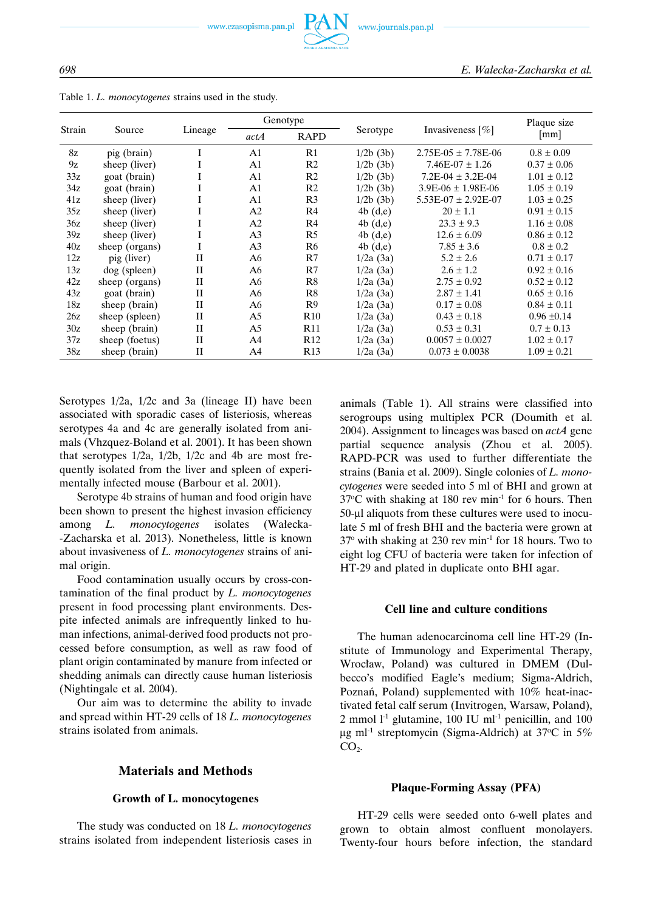

Table 1. *L. monocytogenes* strains used in the study.

| Strain |                |             |                | Genotype        |            |                         | Plaque size        |
|--------|----------------|-------------|----------------|-----------------|------------|-------------------------|--------------------|
|        | Source         | Lineage     | actA           | <b>RAPD</b>     | Serotype   | Invasiveness $[\%]$     | $\lceil mm \rceil$ |
| 8z     | pig (brain)    | I           | A1             | R1              | 1/2b(3b)   | $2.75E-05 \pm 7.78E-06$ | $0.8 \pm 0.09$     |
| 9z     | sheep (liver)  | 1           | A1             | R <sub>2</sub>  | 1/2b(3b)   | $7.46E-07 \pm 1.26$     | $0.37 \pm 0.06$    |
| 33z    | goat (brain)   | I           | A1             | R <sub>2</sub>  | 1/2b(3b)   | $7.2E-04 \pm 3.2E-04$   | $1.01 \pm 0.12$    |
| 34z    | goat (brain)   | 1           | A1             | R <sub>2</sub>  | 1/2b(3b)   | $3.9E-06 \pm 1.98E-06$  | $1.05 \pm 0.19$    |
| 41z    | sheep (liver)  | I           | A1             | R <sub>3</sub>  | 1/2b(3b)   | $5.53E-07 \pm 2.92E-07$ | $1.03 \pm 0.25$    |
| 35z    | sheep (liver)  |             | A <sub>2</sub> | R4              | $4b$ (d,e) | $20 \pm 1.1$            | $0.91 \pm 0.15$    |
| 36z    | sheep (liver)  | -1          | A <sub>2</sub> | R4              | 4b(d,e)    | $23.3 \pm 9.3$          | $1.16 \pm 0.08$    |
| 39z    | sheep (liver)  |             | A <sub>3</sub> | R <sub>5</sub>  | $4b$ (d,e) | $12.6 \pm 6.09$         | $0.86 \pm 0.12$    |
| 40z    | sheep (organs) | 1           | A <sub>3</sub> | R <sub>6</sub>  | 4b(d,e)    | $7.85 \pm 3.6$          | $0.8 \pm 0.2$      |
| 12z    | pig (liver)    | $\rm II$    | A6             | R7              | 1/2a(3a)   | $5.2 \pm 2.6$           | $0.71 \pm 0.17$    |
| 13z    | dog (spleen)   | $_{\rm II}$ | A6             | R7              | 1/2a(3a)   | $2.6 \pm 1.2$           | $0.92 \pm 0.16$    |
| 42z    | sheep (organs) | $\rm II$    | A6             | R8              | 1/2a(3a)   | $2.75 \pm 0.92$         | $0.52 \pm 0.12$    |
| 43z    | goat (brain)   | $\rm II$    | A6             | R8              | 1/2a(3a)   | $2.87 \pm 1.41$         | $0.65 \pm 0.16$    |
| 18z    | sheep (brain)  | $_{\rm II}$ | A6             | R <sub>9</sub>  | 1/2a(3a)   | $0.17 \pm 0.08$         | $0.84 \pm 0.11$    |
| 26z    | sheep (spleen) | $\rm II$    | A5             | R10             | 1/2a(3a)   | $0.43 \pm 0.18$         | $0.96 \pm 0.14$    |
| 30z    | sheep (brain)  | $_{\rm II}$ | A5             | R <sub>11</sub> | 1/2a(3a)   | $0.53 \pm 0.31$         | $0.7 \pm 0.13$     |
| 37z    | sheep (foetus) | $_{\rm II}$ | A4             | R <sub>12</sub> | 1/2a(3a)   | $0.0057 \pm 0.0027$     | $1.02 \pm 0.17$    |
| 38z    | sheep (brain)  | $_{\rm II}$ | A4             | R13             | 1/2a(3a)   | $0.073 \pm 0.0038$      | $1.09 \pm 0.21$    |

Serotypes 1/2a, 1/2c and 3a (lineage II) have been associated with sporadic cases of listeriosis, whereas serotypes 4a and 4c are generally isolated from animals (Vhzquez-Boland et al. 2001). It has been shown that serotypes 1/2a, 1/2b, 1/2c and 4b are most frequently isolated from the liver and spleen of experimentally infected mouse (Barbour et al. 2001).

Serotype 4b strains of human and food origin have been shown to present the highest invasion efficiency among *L. monocytogenes* isolates (Wałecka- -Zacharska et al. 2013). Nonetheless, little is known about invasiveness of *L. monocytogenes* strains of animal origin.

Food contamination usually occurs by cross-contamination of the final product by *L. monocytogenes* present in food processing plant environments. Despite infected animals are infrequently linked to human infections, animal-derived food products not processed before consumption, as well as raw food of plant origin contaminated by manure from infected or shedding animals can directly cause human listeriosis (Nightingale et al. 2004).

Our aim was to determine the ability to invade and spread within HT-29 cells of 18 *L. monocytogenes* strains isolated from animals.

#### **Materials and Methods**

#### **Growth of L. monocytogenes**

The study was conducted on 18 *L. monocytogenes* strains isolated from independent listeriosis cases in

animals (Table 1). All strains were classified into serogroups using multiplex PCR (Doumith et al. 2004). Assignment to lineages was based on *actA* gene partial sequence analysis (Zhou et al. 2005). RAPD-PCR was used to further differentiate the strains (Bania et al. 2009). Single colonies of *L. monocytogenes* were seeded into 5 ml of BHI and grown at  $37^{\circ}$ C with shaking at 180 rev min<sup>-1</sup> for 6 hours. Then 50-μl aliquots from these cultures were used to inoculate 5 ml of fresh BHI and the bacteria were grown at  $37^{\circ}$  with shaking at 230 rev min<sup>-1</sup> for 18 hours. Two to eight log CFU of bacteria were taken for infection of HT-29 and plated in duplicate onto BHI agar.

#### **Cell line and culture conditions**

The human adenocarcinoma cell line HT-29 (Institute of Immunology and Experimental Therapy, Wrocław, Poland) was cultured in DMEM (Dulbecco's modified Eagle's medium; Sigma-Aldrich, Poznań, Poland) supplemented with 10% heat-inactivated fetal calf serum (Invitrogen, Warsaw, Poland), 2 mmol  $1<sup>-1</sup>$  glutamine, 100 IU ml<sup>-1</sup> penicillin, and 100 μg ml<sup>-1</sup> streptomycin (Sigma-Aldrich) at 37°C in 5%  $CO<sub>2</sub>$ .

#### **Plaque-Forming Assay (PFA)**

HT-29 cells were seeded onto 6-well plates and grown to obtain almost confluent monolayers. Twenty-four hours before infection, the standard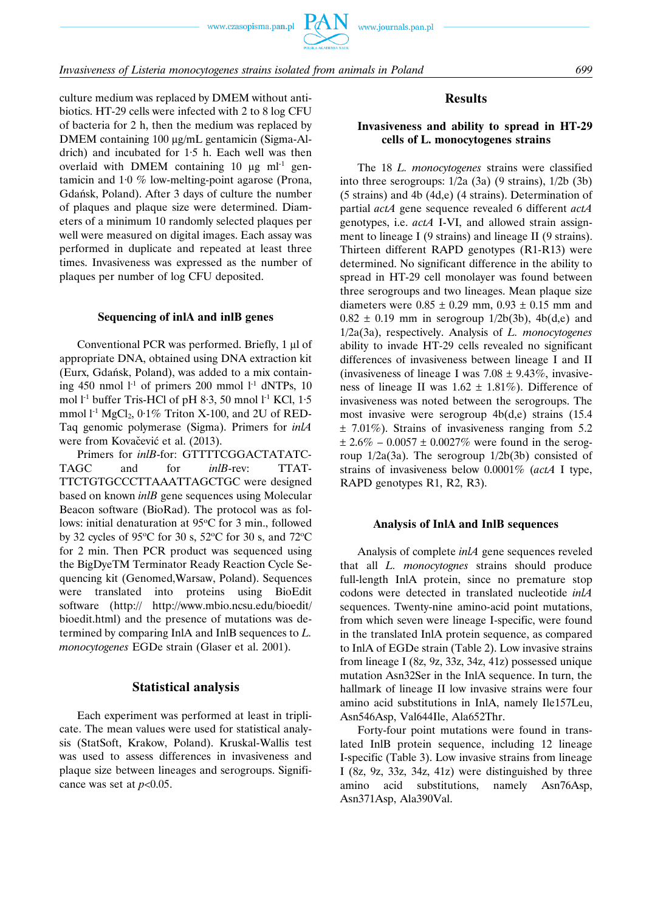

culture medium was replaced by DMEM without antibiotics. HT-29 cells were infected with 2 to 8 log CFU of bacteria for 2 h, then the medium was replaced by DMEM containing 100 μg/mL gentamicin (Sigma-Aldrich) and incubated for 1·5 h. Each well was then overlaid with DMEM containing 10 μg  $ml^{-1}$  gentamicin and 1·0 % low-melting-point agarose (Prona, Gdańsk, Poland). After 3 days of culture the number of plaques and plaque size were determined. Diameters of a minimum 10 randomly selected plaques per well were measured on digital images. Each assay was performed in duplicate and repeated at least three times. Invasiveness was expressed as the number of plaques per number of log CFU deposited.

#### **Sequencing of inlA and inlB genes**

Conventional PCR was performed. Briefly, 1 μl of appropriate DNA, obtained using DNA extraction kit (Eurx, Gdańsk, Poland), was added to a mix containing 450 nmol  $l<sup>-1</sup>$  of primers 200 mmol  $l<sup>-1</sup>$  dNTPs, 10 mol  $l<sup>-1</sup>$  buffer Tris-HCl of pH 8.3, 50 mnol  $l<sup>-1</sup>$  KCl, 1.5 mmol  $l<sup>-1</sup> MgCl<sub>2</sub>$ ,  $0.1\%$  Triton X-100, and 2U of RED-Taq genomic polymerase (Sigma). Primers for *inlA* were from Kovačević et al. (2013).

Primers for *inlB*-for: GTTTTCGGACTATATC-TAGC and for *inlB*-rev: TTAT-TTCTGTGCCCTTAAATTAGCTGC were designed based on known *inlB* gene sequences using Molecular Beacon software (BioRad). The protocol was as follows: initial denaturation at 95°C for 3 min., followed by 32 cycles of 95°C for 30 s, 52°C for 30 s, and 72°C for 2 min. Then PCR product was sequenced using the BigDyeTM Terminator Ready Reaction Cycle Sequencing kit (Genomed,Warsaw, Poland). Sequences were translated into proteins using BioEdit software (http:// http://www.mbio.ncsu.edu/bioedit/ bioedit.html) and the presence of mutations was determined by comparing InlA and InlB sequences to *L. monocytogenes* EGDe strain (Glaser et al. 2001).

#### **Statistical analysis**

Each experiment was performed at least in triplicate. The mean values were used for statistical analysis (StatSoft, Krakow, Poland). Kruskal-Wallis test was used to assess differences in invasiveness and plaque size between lineages and serogroups. Significance was set at  $p<0.05$ .

#### **Results**

#### **Invasiveness and ability to spread in HT-29 cells of L. monocytogenes strains**

The 18 *L. monocytogenes* strains were classified into three serogroups: 1/2a (3a) (9 strains), 1/2b (3b) (5 strains) and 4b (4d,e) (4 strains). Determination of partial *actA* gene sequence revealed 6 different *actA* genotypes, i.e. *actA* I-VI, and allowed strain assignment to lineage I (9 strains) and lineage II (9 strains). Thirteen different RAPD genotypes (R1-R13) were determined. No significant difference in the ability to spread in HT-29 cell monolayer was found between three serogroups and two lineages. Mean plaque size diameters were  $0.85 \pm 0.29$  mm,  $0.93 \pm 0.15$  mm and  $0.82 \pm 0.19$  mm in serogroup  $1/2b(3b)$ ,  $4b(d,e)$  and 1/2a(3a), respectively. Analysis of *L. monocytogenes* ability to invade HT-29 cells revealed no significant differences of invasiveness between lineage I and II (invasiveness of lineage I was  $7.08 \pm 9.43\%$ , invasiveness of lineage II was  $1.62 \pm 1.81\%$ ). Difference of invasiveness was noted between the serogroups. The most invasive were serogroup 4b(d,e) strains (15.4  $\pm$  7.01%). Strains of invasiveness ranging from 5.2  $\pm 2.6\% - 0.0057 \pm 0.0027\%$  were found in the serogroup 1/2a(3a). The serogroup 1/2b(3b) consisted of strains of invasiveness below 0.0001% (*actA* I type, RAPD genotypes R1, R2, R3).

#### **Analysis of InlA and InlB sequences**

Analysis of complete *inlA* gene sequences reveled that all *L. monocytognes* strains should produce full-length InlA protein, since no premature stop codons were detected in translated nucleotide *inlA* sequences. Twenty-nine amino-acid point mutations, from which seven were lineage I-specific, were found in the translated InlA protein sequence, as compared to InlA of EGDe strain (Table 2). Low invasive strains from lineage I (8z, 9z, 33z, 34z, 41z) possessed unique mutation Asn32Ser in the InlA sequence. In turn, the hallmark of lineage II low invasive strains were four amino acid substitutions in InlA, namely Ile157Leu, Asn546Asp, Val644Ile, Ala652Thr.

Forty-four point mutations were found in translated InlB protein sequence, including 12 lineage I-specific (Table 3). Low invasive strains from lineage I (8z, 9z, 33z, 34z, 41z) were distinguished by three amino acid substitutions, namely Asn76Asp, Asn371Asp, Ala390Val.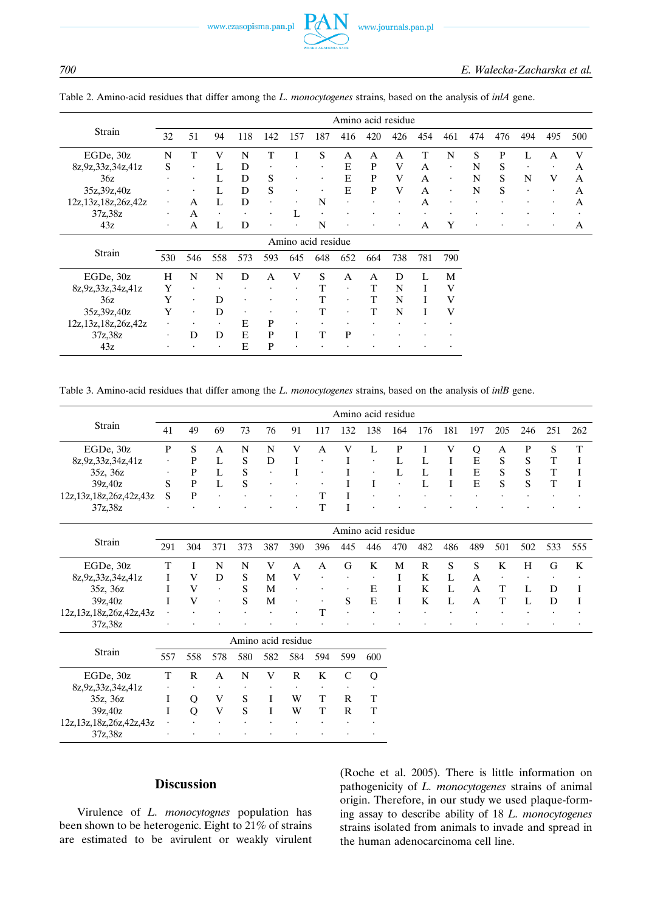$\overline{43z}$ 

700

|                         |     |                      |           |     |           |                    |     | Amino acid residue |     |           |     |           |                      |              |           |           |     |
|-------------------------|-----|----------------------|-----------|-----|-----------|--------------------|-----|--------------------|-----|-----------|-----|-----------|----------------------|--------------|-----------|-----------|-----|
| Strain                  | 32  | 51                   | 94        | 118 | 142       | 157                | 187 | 416                | 420 | 426       | 454 | 461       | 474                  | 476          | 494       | 495       | 500 |
| EGDe, 30z               | N   | T                    | V         | N   | т         |                    | S   | A                  | A   | A         | т   | N         | S                    | P            |           | A         | V   |
| 8z, 9z, 33z, 34z, 41z   | S   | $\bullet$            | L         | D   | $\bullet$ |                    |     | E                  | P   | V         | A   | ٠         | N                    | S            | $\bullet$ | $\bullet$ | A   |
| 36z                     | ٠   | ٠                    |           | D   | S         | ٠                  |     | E                  | P   | V         | A   | $\bullet$ | N                    | <sub>S</sub> | N         | V         | A   |
| 35z, 39z, 40z           |     |                      |           | D   | S         | $\bullet$          |     | E                  | P   | V         | A   | $\bullet$ | N                    | S            | $\bullet$ | $\bullet$ | A   |
| 12z, 13z, 18z, 26z, 42z | ٠   | A                    |           | D   |           |                    | N   | $\bullet$          |     | ٠         | А   |           | $\ddot{\phantom{0}}$ |              |           | ٠         | A   |
| 37z,38z                 | ٠   | A                    | $\bullet$ | ٠   | ٠         |                    |     |                    |     |           |     |           |                      |              |           |           |     |
| 43z                     | ٠   | А                    | L         | D   | $\bullet$ |                    | N   | $\bullet$          | ٠   | $\bullet$ | А   | Y         | $\bullet$            |              | ٠         | $\bullet$ | A   |
|                         |     |                      |           |     |           | Amino acid residue |     |                    |     |           |     |           |                      |              |           |           |     |
| Strain                  | 530 | 546                  | 558       | 573 | 593       | 645                | 648 | 652                | 664 | 738       | 781 | 790       |                      |              |           |           |     |
| EGDe, 30z               | Н   | N                    | N         | D   | А         | V                  | S   | A                  | A   | D         |     | M         |                      |              |           |           |     |
| 8z, 9z, 33z, 34z, 41z   | Y   | ٠                    | $\bullet$ |     |           |                    | T   | $\bullet$          | T   | N         |     | V         |                      |              |           |           |     |
| 36z                     | Y   | $\bullet$            | D         |     |           |                    | T   | $\bullet$          | T   | N         |     | V         |                      |              |           |           |     |
| 35z, 39z, 40z           | Y   | $\ddot{\phantom{0}}$ | D         | ٠   |           |                    | T   | ٠                  | T   | N         |     | V         |                      |              |           |           |     |
| 12z, 13z, 18z, 26z, 42z |     |                      | $\bullet$ | E   | P         | ٠                  |     |                    |     |           |     |           |                      |              |           |           |     |
| 37z,38z                 | ٠   | D                    | D         | E   | P         |                    | T   | P                  |     |           |     |           |                      |              |           |           |     |

Table 2. Amino-acid residues that differ among the L. monocytogenes strains, based on the analysis of inlA gene.

Table 3. Amino-acid residues that differ among the L. monocytogenes strains, based on the analysis of inlB gene.

 $E$ 

 $\overline{P}$ 

|                              | Amino acid residue |    |           |           |           |           |           |     |           |           |           |           |           |           |           |           |           |
|------------------------------|--------------------|----|-----------|-----------|-----------|-----------|-----------|-----|-----------|-----------|-----------|-----------|-----------|-----------|-----------|-----------|-----------|
| Strain                       | 41                 | 49 | 69        | 73        | 76        | 91        |           | 132 | 138       | 164       | 176       | 181       | 197       | 205       | 246       | 251       | 262       |
| EGDe, 30z                    | P                  | S  | A         | N         | N         | V         | A         | V   |           |           |           | V         | Ő         | A         |           | S         | т         |
| 8z, 9z, 33z, 34z, 41z        | ٠                  |    |           | S         | D         |           | $\bullet$ |     | $\bullet$ |           |           |           | E         | S         | S         | T         |           |
| 35z, 36z                     | ٠                  | р  |           | S         | $\bullet$ |           | ٠         |     | $\bullet$ |           |           |           | Ε         | S         | S         | T         |           |
| 39z,40z                      | S                  | P  |           | S         | $\bullet$ | $\bullet$ | $\bullet$ |     |           | $\bullet$ |           |           | E         | S         |           |           |           |
| 12z, 13z, 18z, 26z, 42z, 43z | S                  | Þ  | $\bullet$ | $\bullet$ | $\bullet$ | $\bullet$ |           |     | $\bullet$ | $\bullet$ | $\bullet$ | $\bullet$ | $\bullet$ | $\bullet$ | $\bullet$ | $\bullet$ | $\bullet$ |
| 37z,38z                      | $\bullet$          |    |           |           | $\bullet$ | $\bullet$ |           |     |           |           |           |           |           |           |           | $\cdot$   |           |

|                              | Amino acid residue |     |           |           |           |              |           |              |           |         |     |     |              |           |           |         |     |
|------------------------------|--------------------|-----|-----------|-----------|-----------|--------------|-----------|--------------|-----------|---------|-----|-----|--------------|-----------|-----------|---------|-----|
| Strain                       | 291                | 304 |           |           | 387       | 390          | 396       | 445          | 446       | 470     | 482 | 486 | 489          | 501       | 502       | 533     | 555 |
| EGDe, $30z$                  |                    |     | N         | N         | V         | $\mathsf{A}$ | A         | G            | K         | M       | R   | S   | <sub>S</sub> | K         | H         | G       | K   |
| 8z, 9z, 33z, 34z, 41z        |                    | V   | D         | S         | M         | V            | $\bullet$ | $\bullet$    | $\bullet$ |         | K   |     | A            | $\bullet$ | $\bullet$ | $\cdot$ |     |
| 35z, 36z                     |                    | V   | $\cdot$   | S.        | M         | $\cdot$      | $\bullet$ | $\bullet$    | E         |         | K   |     | A            |           |           |         |     |
| 39z,40z                      |                    | V   | $\bullet$ | S.        | M         | $\bullet$    | $\cdot$   | <sub>S</sub> | E         |         | K   |     | A            |           |           |         |     |
| 12z, 13z, 18z, 26z, 42z, 43z | $\bullet$          |     | $\bullet$ | $\cdot$   | $\bullet$ | $\bullet$    | T.        | $\bullet$    | $\bullet$ | $\cdot$ |     |     | $\cdot$      |           | $\bullet$ | $\cdot$ |     |
| 37z,38z                      | $\cdot$            |     |           | $\bullet$ |           |              |           | $\bullet$    |           | $\cdot$ |     |     | $\cdot$      |           |           | $\cdot$ |     |

|                              | Amino acid residue |     |     |           |     |     |           |     |     |  |  |  |
|------------------------------|--------------------|-----|-----|-----------|-----|-----|-----------|-----|-----|--|--|--|
| Strain                       | 557                | 558 | 578 | 580       | 582 | 584 | 594       | 599 | 600 |  |  |  |
| EGDe, 30z                    |                    |     | А   | N         | V   | R   | Κ         |     | O   |  |  |  |
| 8z, 9z, 33z, 34z, 41z        | ٠                  | ٠   |     |           | ٠   | ٠   | ٠         | ٠   | ٠   |  |  |  |
| 35z, 36z                     |                    | Ő   | V   | S         |     | W   |           | R   | Т   |  |  |  |
| 39z.40z                      |                    | O)  | V   | S         |     | W   |           | R   |     |  |  |  |
| 12z, 13z, 18z, 26z, 42z, 43z | ٠                  | ٠   | ۰   | $\bullet$ | ٠   | ٠   | ٠         | ۰   | ٠   |  |  |  |
| 37z.38z                      | ٠                  | ٠   | ۰   | ٠         | ٠   | ٠   | $\bullet$ | ۰   | ٠   |  |  |  |

# **Discussion**

Virulence of L. monocytognes population has been shown to be heterogenic. Eight to 21% of strains are estimated to be avirulent or weakly virulent (Roche et al. 2005). There is little information on pathogenicity of L. monocytogenes strains of animal origin. Therefore, in our study we used plaque-forming assay to describe ability of 18 L. monocytogenes strains isolated from animals to invade and spread in the human adenocarcinoma cell line.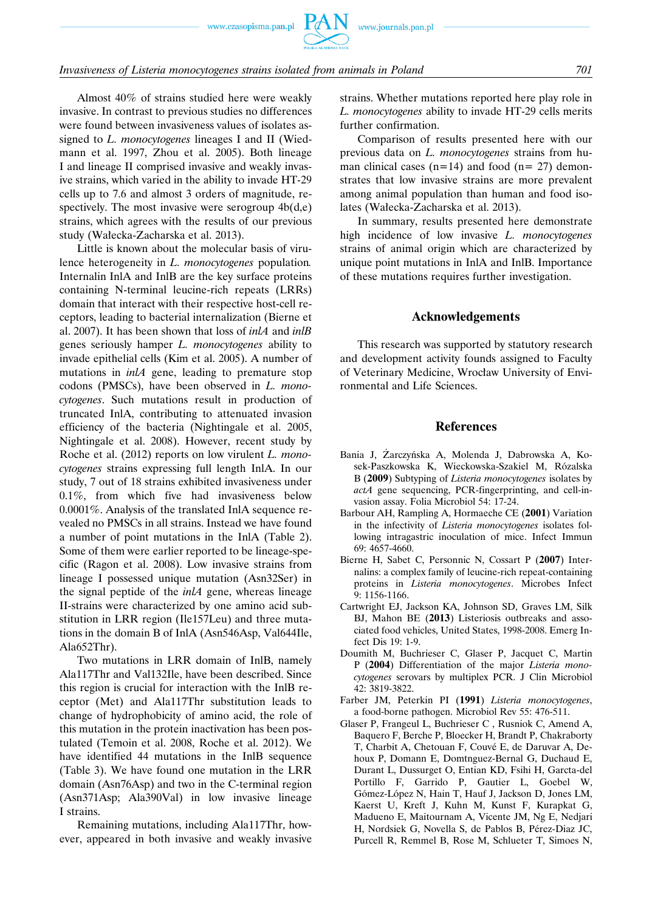# *Invasiveness of Listeria monocytogenes strains isolated from animals in Poland 701*

Almost 40% of strains studied here were weakly invasive. In contrast to previous studies no differences were found between invasiveness values of isolates assigned to *L. monocytogenes* lineages I and II (Wiedmann et al. 1997, Zhou et al. 2005). Both lineage I and lineage II comprised invasive and weakly invasive strains, which varied in the ability to invade HT-29 cells up to 7.6 and almost 3 orders of magnitude, respectively. The most invasive were serogroup  $4b(d,e)$ strains, which agrees with the results of our previous study (Wałecka-Zacharska et al. 2013).

Little is known about the molecular basis of virulence heterogeneity in *L. monocytogenes* population*.* Internalin InlA and InlB are the key surface proteins containing N-terminal leucine-rich repeats (LRRs) domain that interact with their respective host-cell receptors, leading to bacterial internalization (Bierne et al. 2007). It has been shown that loss of *inlA* and *inlB* genes seriously hamper *L. monocytogenes* ability to invade epithelial cells (Kim et al. 2005). A number of mutations in *inlA* gene, leading to premature stop codons (PMSCs), have been observed in *L. monocytogenes*. Such mutations result in production of truncated InlA, contributing to attenuated invasion efficiency of the bacteria (Nightingale et al. 2005, Nightingale et al. 2008). However, recent study by Roche et al. (2012) reports on low virulent *L. monocytogenes* strains expressing full length InlA. In our study, 7 out of 18 strains exhibited invasiveness under 0.1%, from which five had invasiveness below 0.0001%. Analysis of the translated InlA sequence revealed no PMSCs in all strains. Instead we have found a number of point mutations in the InlA (Table 2). Some of them were earlier reported to be lineage-specific (Ragon et al. 2008). Low invasive strains from lineage I possessed unique mutation (Asn32Ser) in the signal peptide of the *inlA* gene, whereas lineage II-strains were characterized by one amino acid substitution in LRR region (Ile157Leu) and three mutations in the domain B of InlA (Asn546Asp, Val644Ile, Ala652Thr).

Two mutations in LRR domain of InlB, namely Ala117Thr and Val132Ile, have been described. Since this region is crucial for interaction with the InlB receptor (Met) and Ala117Thr substitution leads to change of hydrophobicity of amino acid, the role of this mutation in the protein inactivation has been postulated (Temoin et al. 2008, Roche et al. 2012). We have identified 44 mutations in the InlB sequence (Table 3). We have found one mutation in the LRR domain (Asn76Asp) and two in the C-terminal region (Asn371Asp; Ala390Val) in low invasive lineage I strains.

Remaining mutations, including Ala117Thr, however, appeared in both invasive and weakly invasive strains. Whether mutations reported here play role in *L. monocytogenes* ability to invade HT-29 cells merits further confirmation.

Comparison of results presented here with our previous data on *L. monocytogenes* strains from human clinical cases  $(n=14)$  and food  $(n=27)$  demonstrates that low invasive strains are more prevalent among animal population than human and food isolates (Wałecka-Zacharska et al. 2013).

In summary, results presented here demonstrate high incidence of low invasive *L. monocytogenes* strains of animal origin which are characterized by unique point mutations in InlA and InlB. Importance of these mutations requires further investigation.

# **Acknowledgements**

This research was supported by statutory research and development activity founds assigned to Faculty of Veterinary Medicine, Wrocław University of Environmental and Life Sciences.

#### **References**

- Bania J, Żarczyńska A, Molenda J, Dabrowska A, Kosek-Paszkowska K, Wieckowska-Szakiel M, Rózalska B (**2009**) Subtyping of *Listeria monocytogenes* isolates by *actA* gene sequencing, PCR-fingerprinting, and cell-invasion assay. Folia Microbiol 54: 17-24.
- Barbour AH, Rampling A, Hormaeche CE (**2001**) Variation in the infectivity of *Listeria monocytogenes* isolates following intragastric inoculation of mice. Infect Immun 69: 4657-4660.
- Bierne H, Sabet C, Personnic N, Cossart P (**2007**) Internalins: a complex family of leucine-rich repeat-containing proteins in *Listeria monocytogenes*. Microbes Infect 9: 1156-1166.
- Cartwright EJ, Jackson KA, Johnson SD, Graves LM, Silk BJ, Mahon BE (**2013**) Listeriosis outbreaks and associated food vehicles, United States, 1998-2008. Emerg Infect Dis 19: 1-9.
- Doumith M, Buchrieser C, Glaser P, Jacquet C, Martin P (**2004**) Differentiation of the major *Listeria monocytogenes* serovars by multiplex PCR. J Clin Microbiol 42: 3819-3822.
- Farber JM, Peterkin PI (**1991**) *Listeria monocytogenes*, a food-borne pathogen. Microbiol Rev 55: 476-511.
- Glaser P, Frangeul L, Buchrieser C , Rusniok C, Amend A, Baquero F, Berche P, Bloecker H, Brandt P, Chakraborty T, Charbit A, Chetouan F, Couvé E, de Daruvar A, Dehoux P, Domann E, Domtnguez-Bernal G, Duchaud E, Durant L, Dussurget O, Entian KD, Fsihi H, Garcta-del Portillo F, Garrido P, Gautier L, Goebel W, Gómez-López N, Hain T, Hauf J, Jackson D, Jones LM, Kaerst U, Kreft J, Kuhn M, Kunst F, Kurapkat G, Madueno E, Maitournam A, Vicente JM, Ng E, Nedjari H, Nordsiek G, Novella S, de Pablos B, Pérez-Diaz JC, Purcell R, Remmel B, Rose M, Schlueter T, Simoes N,